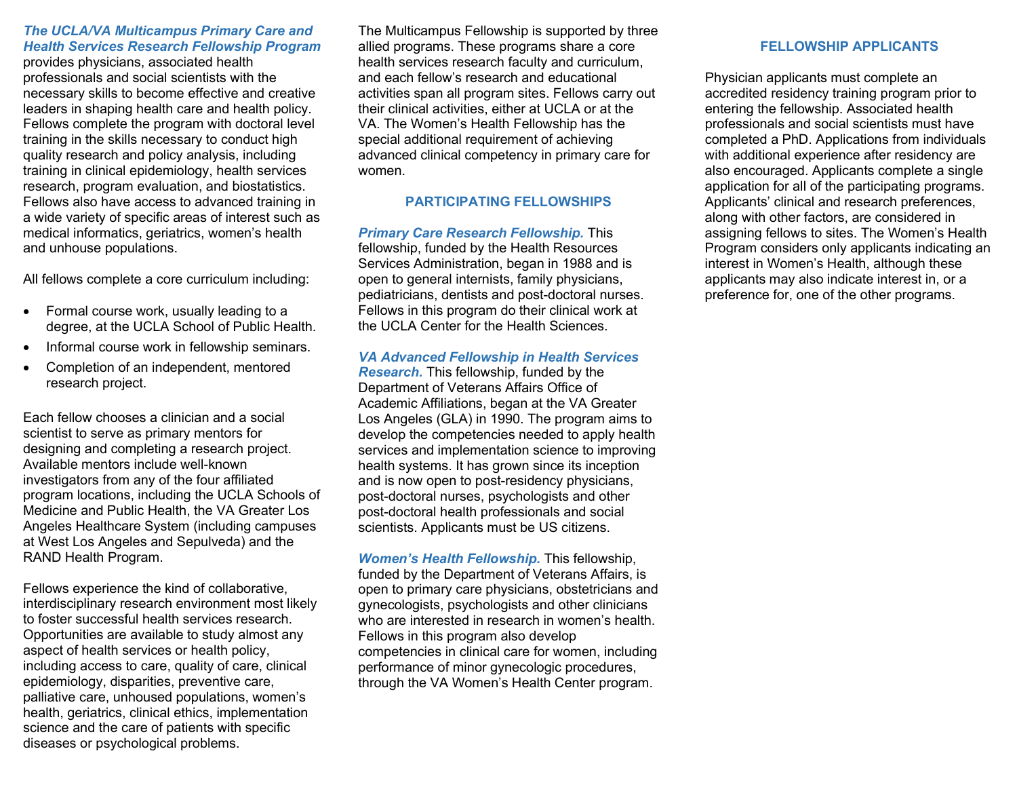#### *The UCLA/VA Multicampus Primary Care and Health Services Research Fellowship Program*

provides physicians, associated health professionals and social scientists with the necessary skills to become effective and creative leaders in shaping health care and health policy. Fellows complete the program with doctoral level training in the skills necessary to conduct high quality research and policy analysis, including training in clinical epidemiology, health services research, program evaluation, and biostatistics. Fellows also have access to advanced training in a wide variety of specific areas of interest such as medical informatics, geriatrics, women's health and unhouse populations.

All fellows complete a core curriculum including:

- Formal course work, usually leading to a degree, at the UCLA School of Public Health.
- Informal course work in fellowship seminars.
- Completion of an independent, mentored research project.

Each fellow chooses a clinician and a social scientist to serve as primary mentors for designing and completing a research project. Available mentors include well-known investigators from any of the four affiliated program locations, including the UCLA Schools of Medicine and Public Health, the VA Greater Los Angeles Healthcare System (including campuses at West Los Angeles and Sepulveda) and the RAND Health Program.

Fellows experience the kind of collaborative, interdisciplinary research environment most likely to foster successful health services research. Opportunities are available to study almost any aspect of health services or health policy, including access to care, quality of care, clinical epidemiology, disparities, preventive care, palliative care, unhoused populations, women's health, geriatrics, clinical ethics, implementation science and the care of patients with specific diseases or psychological problems.

The Multicampus Fellowship is supported by three allied programs. These programs share a core health services research faculty and curriculum, and each fellow's research and educational activities span all program sites. Fellows carry out their clinical activities, either at UCLA or at the VA. The Women's Health Fellowship has the special additional requirement of achieving advanced clinical competency in primary care for women.

## **PARTICIPATING FELLOWSHIPS**

*Primary Care Research Fellowship.* This fellowship, funded by the Health Resources Services Administration, began in 1988 and is open to general internists, family physicians, pediatricians, dentists and post-doctoral nurses. Fellows in this program do their clinical work at the UCLA Center for the Health Sciences.

## *VA Advanced Fellowship in Health Services*

*Research.* This fellowship, funded by the Department of Veterans Affairs Office of Academic Affiliations, began at the VA Greater Los Angeles (GLA) in 1990. The program aims to develop the competencies needed to apply health services and implementation science to improving health systems. It has grown since its inception and is now open to post-residency physicians, post-doctoral nurses, psychologists and other post-doctoral health professionals and social scientists. Applicants must be US citizens.

*Women's Health Fellowship.* This fellowship, funded by the Department of Veterans Affairs, is open to primary care physicians, obstetricians and gynecologists, psychologists and other clinicians who are interested in research in women's health. Fellows in this program also develop competencies in clinical care for women, including performance of minor gynecologic procedures, through the VA Women's Health Center program.

#### **FELLOWSHIP APPLICANTS**

Physician applicants must complete an accredited residency training program prior to entering the fellowship. Associated health professionals and social scientists must have completed a PhD. Applications from individuals with additional experience after residency are also encouraged. Applicants complete a single application for all of the participating programs. Applicants' clinical and research preferences, along with other factors, are considered in assigning fellows to sites. The Women's Health Program considers only applicants indicating an interest in Women's Health, although these applicants may also indicate interest in, or a preference for, one of the other programs.